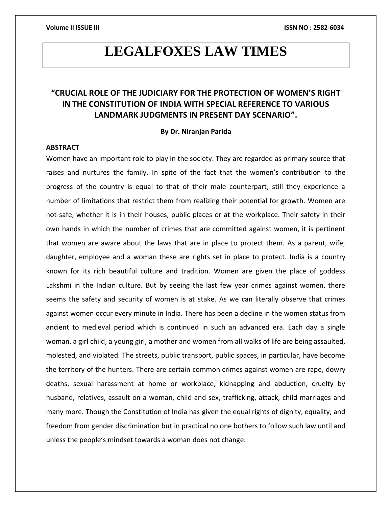# **LEGALFOXES LAW TIMES**

# **"CRUCIAL ROLE OF THE JUDICIARY FOR THE PROTECTION OF WOMEN'S RIGHT IN THE CONSTITUTION OF INDIA WITH SPECIAL REFERENCE TO VARIOUS LANDMARK JUDGMENTS IN PRESENT DAY SCENARIO".**

## **By Dr. Niranjan Parida**

# **ABSTRACT**

Women have an important role to play in the society. They are regarded as primary source that raises and nurtures the family. In spite of the fact that the women's contribution to the progress of the country is equal to that of their male counterpart, still they experience a number of limitations that restrict them from realizing their potential for growth. Women are not safe, whether it is in their houses, public places or at the workplace. Their safety in their own hands in which the number of crimes that are committed against women, it is pertinent that women are aware about the laws that are in place to protect them. As a parent, wife, daughter, employee and a woman these are rights set in place to protect. India is a country known for its rich beautiful culture and tradition. Women are given the place of goddess Lakshmi in the Indian culture. But by seeing the last few year crimes against women, there seems the safety and security of women is at stake. As we can literally observe that crimes against women occur every minute in India. There has been a decline in the women status from ancient to medieval period which is continued in such an advanced era. Each day a single woman, a girl child, a young girl, a mother and women from all walks of life are being assaulted, molested, and violated. The streets, public transport, public spaces, in particular, have become the territory of the hunters. There are certain common crimes against women are rape, dowry deaths, sexual harassment at home or workplace, kidnapping and abduction, cruelty by husband, relatives, assault on a woman, child and sex, trafficking, attack, child marriages and many more. Though the Constitution of India has given the equal rights of dignity, equality, and freedom from gender discrimination but in practical no one bothers to follow such law until and unless the people's mindset towards a woman does not change.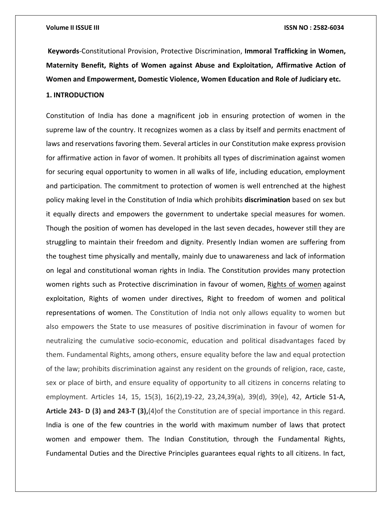**Keywords**-Constitutional Provision, Protective Discrimination, **Immoral Trafficking in Women, Maternity Benefit, Rights of Women against Abuse and Exploitation, Affirmative Action of Women and Empowerment, Domestic Violence, Women Education and Role of Judiciary etc. 1. INTRODUCTION**

Constitution of India has done a magnificent job in ensuring protection of women in the supreme law of the country. It recognizes women as a class by itself and permits enactment of laws and reservations favoring them. Several articles in our Constitution make express provision for affirmative action in favor of women. It prohibits all types of discrimination against women for securing equal opportunity to women in all walks of life, including education, employment and participation. The commitment to protection of women is well entrenched at the highest policy making level in the Constitution of India which prohibits **[discrimination](https://buddymantra.com/discrimination-indian-plague/)** based on sex but it equally directs and empowers the government to undertake special measures for women. Though the position of women has developed in the last seven decades, however still they are struggling to maintain their freedom and dignity. Presently Indian women are suffering from the toughest time physically and mentally, mainly due to unawareness and lack of information on legal and constitutional woman rights in India. The Constitution provides many protection women rights such as Protective discrimination in favour of women, [Rights of women](https://www.nrilegalservices.com/indian-women-right-to-property/) against exploitation, Rights of women under directives, Right to freedom of women and political representations of women. The Constitution of India not only allows equality to women but also empowers the State to use measures of positive discrimination in favour of women for neutralizing the cumulative socio-economic, education and political disadvantages faced by them. Fundamental Rights, among others, ensure equality before the law and equal protection of the law; prohibits discrimination against any resident on the grounds of religion, race, caste, sex or place of birth, and ensure equality of opportunity to all citizens in concerns relating to employment. Articles 14, 15, 15(3), 16(2),19-22, 23,24,39(a), 39(d), 39(e), 42, Article 51-A, **Article 243- D (3) and 243-T (3),**(4)of the Constitution are of special importance in this regard. India is one of the few countries in the world with maximum number of laws that protect women and empower them. The Indian Constitution, through the Fundamental Rights, Fundamental Duties and the Directive Principles guarantees equal rights to all citizens. In fact,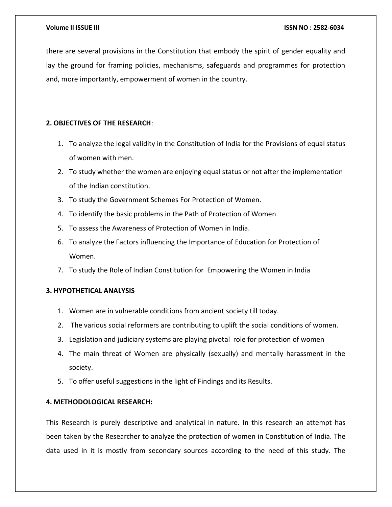there are several provisions in the Constitution that embody the spirit of gender equality and lay the ground for framing policies, mechanisms, safeguards and programmes for protection and, more importantly, empowerment of women in the country.

# **2. OBJECTIVES OF THE RESEARCH**:

- 1. To analyze the legal validity in the Constitution of India for the Provisions of equal status of women with men.
- 2. To study whether the women are enjoying equal status or not after the implementation of the Indian constitution.
- 3. To study the Government Schemes For Protection of Women.
- 4. To identify the basic problems in the Path of Protection of Women
- 5. To assess the Awareness of Protection of Women in India.
- 6. To analyze the Factors influencing the Importance of Education for Protection of Women.
- 7. To study the Role of Indian Constitution for Empowering the Women in India

# **3. HYPOTHETICAL ANALYSIS**

- 1. Women are in vulnerable conditions from ancient society till today.
- 2. The various social reformers are contributing to uplift the social conditions of women.
- 3. Legislation and judiciary systems are playing pivotal role for protection of women
- 4. The main threat of Women are physically (sexually) and mentally harassment in the society.
- 5. To offer useful suggestions in the light of Findings and its Results.

# **4. METHODOLOGICAL RESEARCH:**

This Research is purely descriptive and analytical in nature. In this research an attempt has been taken by the Researcher to analyze the protection of women in Constitution of India. The data used in it is mostly from secondary sources according to the need of this study. The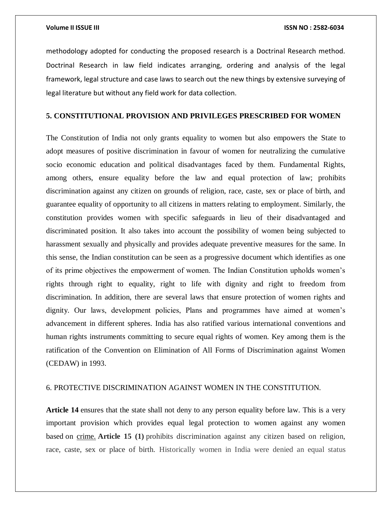methodology adopted for conducting the proposed research is a Doctrinal Research method. Doctrinal Research in law field indicates arranging, ordering and analysis of the legal framework, legal structure and case laws to search out the new things by extensive surveying of legal literature but without any field work for data collection.

# **5. CONSTITUTIONAL PROVISION AND PRIVILEGES PRESCRIBED FOR WOMEN**

The Constitution of India not only grants equality to women but also empowers the State to adopt measures of positive discrimination in favour of women for neutralizing the cumulative socio economic education and political disadvantages faced by them. Fundamental Rights, among others, ensure equality before the law and equal protection of law; prohibits discrimination against any citizen on grounds of religion, race, caste, sex or place of birth, and guarantee equality of opportunity to all citizens in matters relating to employment. Similarly, the constitution provides women with specific safeguards in lieu of their disadvantaged and discriminated position. It also takes into account the possibility of women being subjected to harassment sexually and physically and provides adequate preventive measures for the same. In this sense, the Indian constitution can be seen as a progressive document which identifies as one of its prime objectives the empowerment of women. The Indian Constitution upholds women's rights through right to equality, right to life with dignity and right to freedom from discrimination. In addition, there are several laws that ensure protection of women rights and dignity. Our laws, development policies, Plans and programmes have aimed at women's advancement in different spheres. India has also ratified various international conventions and human rights instruments committing to secure equal rights of women. Key among them is the ratification of the Convention on Elimination of All Forms of Discrimination against Women (CEDAW) in 1993.

# 6. PROTECTIVE DISCRIMINATION AGAINST WOMEN IN THE CONSTITUTION.

**Article 14** ensures that the state shall not deny to any person equality before law. This is a very important provision which provides equal legal protection to women against any women based on [crime.](https://buddymantra.com/the-hate-crime/) **Article 15 (1)** prohibits discrimination against any citizen based on religion, race, caste, sex or place of birth. Historically women in India were denied an equal status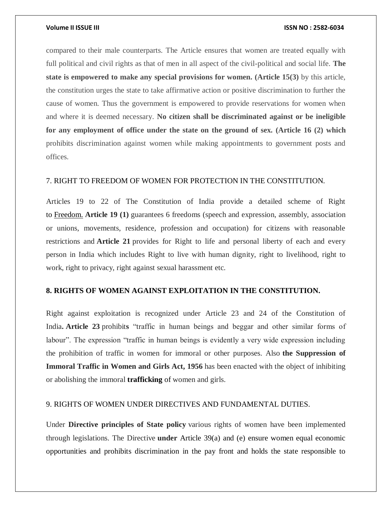compared to their male counterparts. The Article ensures that women are treated equally with full political and civil rights as that of men in all aspect of the civil-political and social life. **The state is empowered to make any special provisions for women. (Article 15(3)** by this article, the constitution urges the state to take affirmative action or positive discrimination to further the cause of women. Thus the government is empowered to provide reservations for women when and where it is deemed necessary. **No citizen shall be discriminated against or be ineligible for any employment of office under the state on the ground of sex. (Article 16 (2) which** prohibits discrimination against women while making appointments to government posts and offices.

# 7. RIGHT TO FREEDOM OF WOMEN FOR PROTECTION IN THE CONSTITUTION.

Articles 19 to 22 of The Constitution of India provide a detailed scheme of Right to [Freedom.](https://buddymantra.com/finding-freedom/) **Article 19 (1)** guarantees 6 freedoms (speech and expression, assembly, association or unions, movements, residence, profession and occupation) for citizens with reasonable restrictions and **Article 21** provides for Right to life and personal liberty of each and every person in India which includes Right to live with human dignity, right to livelihood, right to work, right to privacy, right against sexual harassment etc.

## **8. RIGHTS OF WOMEN AGAINST EXPLOITATION IN THE CONSTITUTION.**

Right against exploitation is recognized under Article 23 and 24 of the Constitution of India**. Article 23** prohibit**s** "traffic in human beings and beggar and other similar forms of labour". The expression "traffic in human beings is evidently a very wide expression including the prohibition of traffic in women for immoral or other purposes. Also **the Suppression of Immoral Traffic in Women and Girls Act, 1956** has been enacted with the object of inhibiting or abolishing the immoral **[trafficking](https://buddymantra.com/the-hate-crime/)** of women and girls.

## 9. RIGHTS OF WOMEN UNDER DIRECTIVES AND FUNDAMENTAL DUTIES.

Under **Directive principles of State policy** various rights of women have been implemented through legislations. The Directive **under** Article 39(a) and (e) ensure women equal economic opportunities and prohibits discrimination in the pay front and holds the state responsible to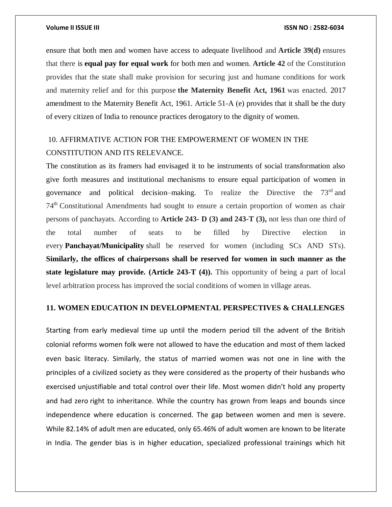ensure that both men and women have access to adequate livelihood and **Article 39(d)** ensures that there is **[equal pay for equal work](https://buddymantra.com/r-rehmans-contemporary-work/)** for both men and women. **Article 42** of the Constitution provides that the state shall make provision for securing just and humane conditions for work and maternity relief and for this purpose **the Maternity Benefit Act, 1961** was enacted. 2017 amendment to the Maternity Benefit Act, 1961. Article 51-A (e) provides that it shall be the duty of every citizen of India to renounce practices derogatory to the dignity of women.

# 10. AFFIRMATIVE ACTION FOR THE EMPOWERMENT OF WOMEN IN THE CONSTITUTION AND ITS RELEVANCE.

The constitution as its framers had envisaged it to be instruments of social transformation also give forth measures and institutional mechanisms to ensure equal participation of women in governance and political decision–making. To realize the Directive the 73rd and 74th Constitutional Amendments had sought to ensure a certain proportion of women as chair persons of panchayats. According to **Article 243- D (3) and 243-T (3),** not less than one third of the total number of seats to be filled by Directive election in every **[Panchayat/Municipality](https://buddymantra.com/cursed-village-kuldhara/)** shall be reserved for women (including SCs AND STs). **Similarly, the offices of chairpersons shall be reserved for women in such manner as the state legislature may provide. (Article 243-T (4)).** This opportunity of being a part of local level arbitration process has improved the social conditions of women in village areas.

## **11. WOMEN EDUCATION IN DEVELOPMENTAL PERSPECTIVES & CHALLENGES**

Starting from early medieval time up until the modern period till the advent of the British colonial reforms women folk were not allowed to have the education and most of them lacked even basic literacy. Similarly, the status of married women was not one in line with the principles of a civilized society as they were considered as the property of their husbands who exercised unjustifiable and total control over their life. Most women didn't hold any property and had zero right to inheritance. While the country has grown from leaps and bounds since independence where education is concerned. The gap between women and men is severe. While 82.14% of adult men are educated, only 65.46% of adult women are known to be literate in India. The gender bias is in higher education, specialized professional trainings which hit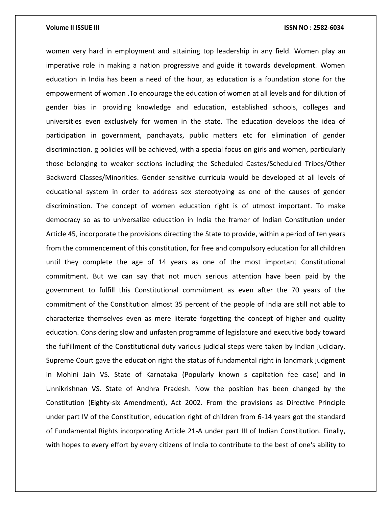## **Volume II ISSUE III III ISSUE III ISSN NO : 2582-6034**

women very hard in employment and attaining top leadership in any field. Women play an imperative role in making a nation progressive and guide it towards development. Women education in India has been a need of the hour, as education is a foundation stone for the empowerment of woman .To encourage the education of women at all levels and for dilution of gender bias in providing knowledge and education, established schools, colleges and universities even exclusively for women in the state. The education develops the idea of participation in government, panchayats, public matters etc for elimination of gender discrimination. g policies will be achieved, with a special focus on girls and women, particularly those belonging to weaker sections including the Scheduled Castes/Scheduled Tribes/Other Backward Classes/Minorities. Gender sensitive curricula would be developed at all levels of educational system in order to address sex stereotyping as one of the causes of gender discrimination. The concept of women education right is of utmost important. To make democracy so as to universalize education in India the framer of Indian Constitution under Article 45, incorporate the provisions directing the State to provide, within a period of ten years from the commencement of this constitution, for free and compulsory education for all children until they complete the age of 14 years as one of the most important Constitutional commitment. But we can say that not much serious attention have been paid by the government to fulfill this Constitutional commitment as even after the 70 years of the commitment of the Constitution almost 35 percent of the people of India are still not able to characterize themselves even as mere literate forgetting the concept of higher and quality education. Considering slow and unfasten programme of legislature and executive body toward the fulfillment of the Constitutional duty various judicial steps were taken by Indian judiciary. Supreme Court gave the education right the status of fundamental right in landmark judgment in Mohini Jain VS. State of Karnataka (Popularly known s capitation fee case) and in Unnikrishnan VS. State of Andhra Pradesh. Now the position has been changed by the Constitution (Eighty-six Amendment), Act 2002. From the provisions as Directive Principle under part IV of the Constitution, education right of children from 6-14 years got the standard of Fundamental Rights incorporating Article 21-A under part III of Indian Constitution. Finally, with hopes to every effort by every citizens of India to contribute to the best of one's ability to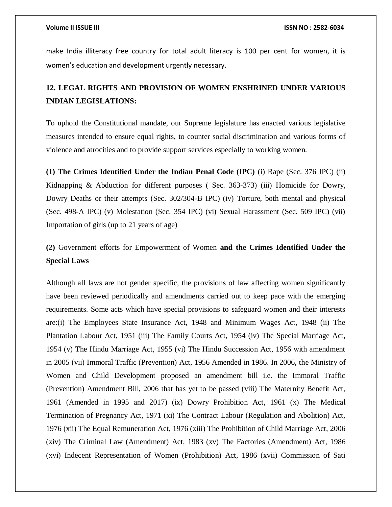make India illiteracy free country for total adult literacy is 100 per cent for women, it is women's education and development urgently necessary.

# **12. LEGAL RIGHTS AND PROVISION OF WOMEN ENSHRINED UNDER VARIOUS INDIAN LEGISLATIONS:**

To uphold the Constitutional mandate, our Supreme legislature has enacted various legislative measures intended to ensure equal rights, to counter social discrimination and various forms of violence and atrocities and to provide support services especially to working women.

**(1) The Crimes Identified Under the Indian Penal Code (IPC)** (i) Rape (Sec. 376 IPC) (ii) Kidnapping & Abduction for different purposes ( Sec. 363-373) (iii) Homicide for Dowry, Dowry Deaths or their attempts (Sec. 302/304-B IPC) (iv) Torture, both mental and physical (Sec. 498-A IPC) (v) Molestation (Sec. 354 IPC) (vi) Sexual Harassment (Sec. 509 IPC) (vii) Importation of girls (up to 21 years of age)

# **(2)** Government efforts for Empowerment of Women **and the Crimes Identified Under the Special Laws**

Although all laws are not gender specific, the provisions of law affecting women significantly have been reviewed periodically and amendments carried out to keep pace with the emerging requirements. Some acts which have special provisions to safeguard women and their interests are:(i) The Employees State Insurance Act, 1948 and Minimum Wages Act, 1948 (ii) The Plantation Labour Act, 1951 (iii) The Family Courts Act, 1954 (iv) The Special Marriage Act, 1954 (v) The Hindu Marriage Act, 1955 (vi) The Hindu Succession Act, 1956 with amendment in 2005 (vii) Immoral Traffic (Prevention) Act, 1956 Amended in 1986. In 2006, the Ministry of Women and Child Development proposed an amendment bill i.e. the Immoral Traffic (Prevention) Amendment Bill, 2006 that has yet to be passed (viii) The Maternity Benefit Act, 1961 (Amended in 1995 and 2017) (ix) Dowry Prohibition Act, 1961 (x) The Medical Termination of Pregnancy Act, 1971 (xi) The Contract Labour (Regulation and Abolition) Act, 1976 (xii) The Equal Remuneration Act, 1976 (xiii) The Prohibition of Child Marriage Act, 2006 (xiv) The Criminal Law (Amendment) Act, 1983 (xv) The Factories (Amendment) Act, 1986 (xvi) Indecent Representation of Women (Prohibition) Act, 1986 (xvii) Commission of Sati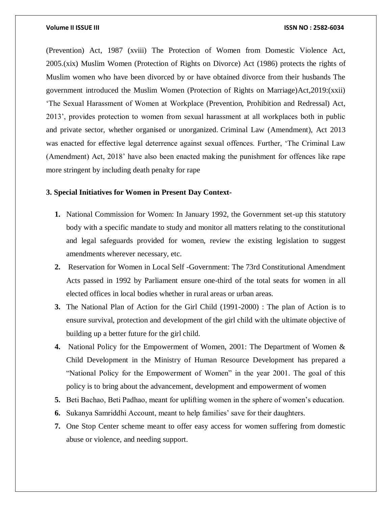(Prevention) Act, 1987 (xviii) The Protection of Women from Domestic Violence Act, 2005.(xix) Muslim Women (Protection of Rights on Divorce) Act (1986) protects the rights of Muslim women who have been divorced by or have obtained divorce from their husbands The government introduced the Muslim Women (Protection of Rights on Marriage)Act,2019:(xxii) 'The Sexual Harassment of Women at Workplace (Prevention, Prohibition and Redressal) Act, 2013', provides protection to women from sexual harassment at all workplaces both in public and private sector, whether organised or unorganized. Criminal Law (Amendment), Act 2013 was enacted for effective legal deterrence against sexual offences. Further, 'The Criminal Law (Amendment) Act, 2018' have also been enacted making the punishment for offences like rape more stringent by including death penalty for rape

# **3. Special Initiatives for Women in Present Day Context-**

- **1.** National Commission for Women: In January 1992, the Government set-up this statutory body with a specific mandate to study and monitor all matters relating to the constitutional and legal safeguards provided for women, review the existing legislation to suggest amendments wherever necessary, etc.
- **2.** Reservation for Women in Local Self -Government: The 73rd Constitutional Amendment Acts passed in 1992 by Parliament ensure one-third of the total seats for women in all elected offices in local bodies whether in rural areas or urban areas.
- **3.** The National Plan of Action for the Girl Child (1991-2000) : The plan of Action is to ensure survival, protection and development of the girl child with the ultimate objective of building up a better future for the girl child.
- **4.** National Policy for the Empowerment of Women, 2001: The Department of Women & Child Development in the Ministry of Human Resource Development has prepared a "National Policy for the Empowerment of Women" in the year 2001. The goal of this policy is to bring about the advancement, development and empowerment of women
- **5.** Beti Bachao, Beti Padhao, meant for uplifting women in the sphere of women's education.
- **6.** Sukanya Samriddhi Account, meant to help families' save for their daughters.
- **7.** One Stop Center scheme meant to offer easy access for women suffering from domestic abuse or violence, and needing support.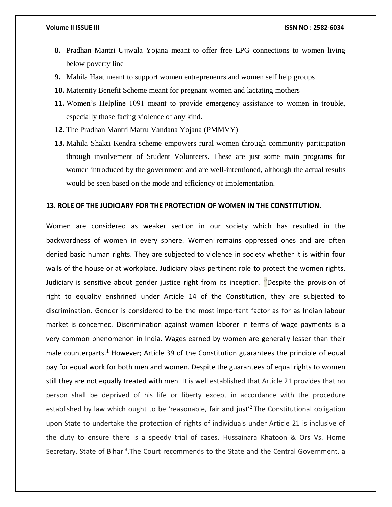- **8.** Pradhan Mantri Ujjwala Yojana meant to offer free LPG connections to women living below poverty line
- **9.** Mahila Haat meant to support women entrepreneurs and women self help groups
- **10.** Maternity Benefit Scheme meant for pregnant women and lactating mothers
- **11.** Women's Helpline 1091 meant to provide emergency assistance to women in trouble, especially those facing violence of any kind.
- **12.** The Pradhan Mantri Matru Vandana Yojana (PMMVY)
- **13.** Mahila Shakti Kendra scheme empowers rural women through community participation through involvement of Student Volunteers. These are just some main programs for women introduced by the government and are well-intentioned, although the actual results would be seen based on the mode and efficiency of implementation.

# **13. ROLE OF THE JUDICIARY FOR THE PROTECTION OF WOMEN IN THE CONSTITUTION.**

Women are considered as weaker section in our society which has resulted in the backwardness of women in every sphere. Women remains oppressed ones and are often denied basic human rights. They are subjected to violence in society whether it is within four walls of the house or at workplace. Judiciary plays pertinent role to protect the women rights. Judiciary is sensitive about gender justice right from its inception. "Despite the provision of right to equality enshrined under Article 14 of the Constitution, they are subjected to discrimination. Gender is considered to be the most important factor as for as Indian labour market is concerned. Discrimination against women laborer in terms of wage payments is a very common phenomenon in India. Wages earned by women are generally lesser than their male counterparts.<sup>1</sup> However; Article 39 of the Constitution guarantees the principle of equal pay for equal work for both men and women. Despite the guarantees of equal rights to women still they are not equally treated with men. It is well established that Article 21 provides that no person shall be deprived of his life or liberty except in accordance with the procedure established by law which ought to be 'reasonable, fair and just<sup>'2.</sup>The Constitutional obligation upon State to undertake the protection of rights of individuals under Article 21 is inclusive of the duty to ensure there is a speedy trial of cases. Hussainara Khatoon & Ors Vs. Home Secretary, State of Bihar<sup>3</sup>. The Court recommends to the State and the Central Government, a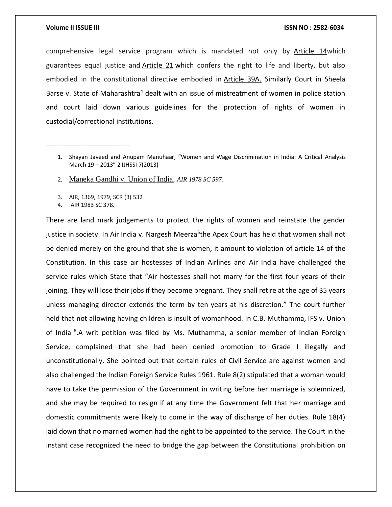comprehensive legal service program which is mandated not only by [Article 14w](about:blank)hich guarantees equal justice and [Article 21](about:blank) which confers the right to life and liberty, but also embodied in the constitutional directive embodied in [Article 39A.](about:blank) Similarly Court in Sheela Barse v. State of Maharashtra<sup>4</sup> dealt with an issue of mistreatment of women in police station and court laid down various guidelines for the protection of rights of women in custodial/correctional institutions.

- 2. [Maneka Gandhi v. Union of India](about:blank)*, AIR 1978 SC 597.*
- 3. AIR, 1369, 1979, SCR (3) 532
- 4. AIR 1983 SC 378.

\_\_\_\_\_\_\_\_\_\_\_\_\_\_\_\_\_\_\_\_\_\_

There are land mark judgements to protect the rights of women and reinstate the gender justice in society. In Air India v. Nargesh Meerza<sup>5</sup>the Apex Court has held that women shall not be denied merely on the ground that she is women, it amount to violation of article 14 of the Constitution. In this case air hostesses of Indian Airlines and Air India have challenged the service rules which State that "Air hostesses shall not marry for the first four years of their joining. They will lose their jobs if they become pregnant. They shall retire at the age of 35 years unless managing director extends the term by ten years at his discretion." The court further held that not allowing having children is insult of womanhood. In C.B. Muthamma, IFS v. Union of India <sup>6</sup>.A writ petition was filed by Ms. Muthamma, a senior member of Indian Foreign Service, complained that she had been denied promotion to Grade I illegally and unconstitutionally. She pointed out that certain rules of Civil Service are against women and also challenged the Indian Foreign Service Rules 1961. Rule 8(2) stipulated that a woman would have to take the permission of the Government in writing before her marriage is solemnized, and she may be required to resign if at any time the Government felt that her marriage and domestic commitments were likely to come in the way of discharge of her duties. Rule 18(4) laid down that no married women had the right to be appointed to the service. The Court in the instant case recognized the need to bridge the gap between the Constitutional prohibition on

<sup>1.</sup> Shayan Javeed and Anupam Manuhaar, "Women and Wage Discrimination in India: A Critical Analysis March 19 – 2013" 2 IJHSSI 7(2013)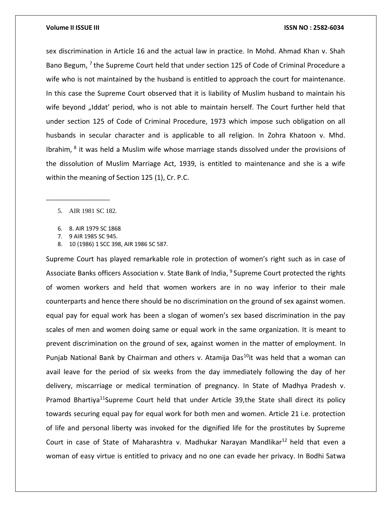sex discrimination in Article 16 and the actual law in practice. In Mohd. Ahmad Khan v. Shah Bano Begum, <sup>7</sup> the Supreme Court held that under section 125 of Code of Criminal Procedure a wife who is not maintained by the husband is entitled to approach the court for maintenance. In this case the Supreme Court observed that it is liability of Muslim husband to maintain his wife beyond "Iddat' period, who is not able to maintain herself. The Court further held that under section 125 of Code of Criminal Procedure, 1973 which impose such obligation on all husbands in secular character and is applicable to all religion. In Zohra Khatoon v. Mhd. Ibrahim, <sup>8</sup> it was held a Muslim wife whose marriage stands dissolved under the provisions of the dissolution of Muslim Marriage Act, 1939, is entitled to maintenance and she is a wife within the meaning of Section 125 (1), Cr. P.C.

5. AIR 1981 SC 182.

\_\_\_\_\_\_\_\_\_\_\_\_\_\_\_\_\_\_\_\_

- 6. 8. AIR 1979 SC 1868
- 7. 9 AIR 1985 SC 945.
- 8. 10 (1986) 1 SCC 398, AIR 1986 SC 587.

Supreme Court has played remarkable role in protection of women's right such as in case of Associate Banks officers Association v. State Bank of India, <sup>9</sup> Supreme Court protected the rights of women workers and held that women workers are in no way inferior to their male counterparts and hence there should be no discrimination on the ground of sex against women. equal pay for equal work has been a slogan of women's sex based discrimination in the pay scales of men and women doing same or equal work in the same organization. It is meant to prevent discrimination on the ground of sex, against women in the matter of employment. In Punjab National Bank by Chairman and others v. Atamija Das<sup>10</sup>it was held that a woman can avail leave for the period of six weeks from the day immediately following the day of her delivery, miscarriage or medical termination of pregnancy. In State of Madhya Pradesh v. Pramod Bhartiya<sup>11</sup>Supreme Court held that under Article 39, the State shall direct its policy towards securing equal pay for equal work for both men and women. Article 21 i.e. protection of life and personal liberty was invoked for the dignified life for the prostitutes by Supreme Court in case of State of Maharashtra v. Madhukar Narayan Mandlikar<sup>12</sup> held that even a woman of easy virtue is entitled to privacy and no one can evade her privacy. In Bodhi Satwa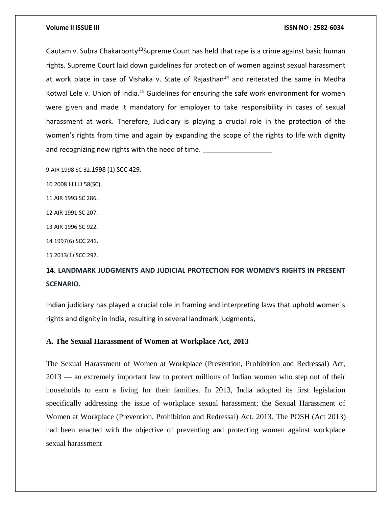Gautam v. Subra Chakarborty<sup>13</sup>Supreme Court has held that rape is a crime against basic human rights. Supreme Court laid down guidelines for protection of women against sexual harassment at work place in case of Vishaka v. State of Rajasthan<sup>14</sup> and reiterated the same in Medha Kotwal Lele v. Union of India.<sup>15</sup> Guidelines for ensuring the safe work environment for women were given and made it mandatory for employer to take responsibility in cases of sexual harassment at work. Therefore, Judiciary is playing a crucial role in the protection of the women's rights from time and again by expanding the scope of the rights to life with dignity and recognizing new rights with the need of time.

9 AIR 1998 SC 32.1998 (1) SCC 429.

10 2008 III LLJ 58(SC).

11 AIR 1993 SC 286.

12 AIR 1991 SC 207.

13 AIR 1996 SC 922.

14 1997(6) SCC 241.

15 2013(1) SCC 297.

# **14. LANDMARK JUDGMENTS AND JUDICIAL PROTECTION FOR WOMEN'S RIGHTS IN PRESENT SCENARIO.**

Indian judiciary has played a crucial role in framing and interpreting laws that uphold women`s rights and dignity in India, resulting in several landmark judgments,

# **A. The Sexual Harassment of Women at Workplace Act, 2013**

The Sexual Harassment of Women at Workplace (Prevention, Prohibition and Redressal) Act, 2013 — an extremely important law to protect millions of Indian women who step out of their households to earn a living for their families. In 2013, India adopted its first legislation specifically addressing the issue of workplace sexual harassment; the Sexual Harassment of Women at Workplace (Prevention, Prohibition and Redressal) Act, 2013. The POSH (Act 2013) had been enacted with the objective of preventing and protecting women against workplace sexual harassment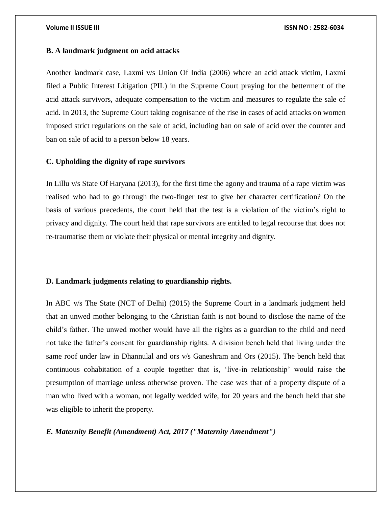# **B. A landmark judgment on acid attacks**

Another landmark case, Laxmi v/s Union Of India (2006) where an acid attack victim, Laxmi filed a Public Interest Litigation (PIL) in the Supreme Court praying for the betterment of the acid attack survivors, adequate compensation to the victim and measures to regulate the sale of acid. In 2013, the Supreme Court taking cognisance of the rise in cases of acid attacks on women imposed strict regulations on the sale of acid, including ban on sale of acid over the counter and ban on sale of acid to a person below 18 years.

# **C. Upholding the dignity of rape survivors**

In Lillu v/s State Of Haryana (2013), for the first time the agony and trauma of a rape victim was realised who had to go through the two-finger test to give her character certification? On the basis of various precedents, the court held that the test is a violation of the victim's right to privacy and dignity. The court held that rape survivors are entitled to legal recourse that does not re-traumatise them or violate their physical or mental integrity and dignity.

## **D. Landmark judgments relating to guardianship rights.**

In ABC v/s The State (NCT of Delhi) (2015) the Supreme Court in a landmark judgment held that an unwed mother belonging to the Christian faith is not bound to disclose the name of the child's father. The unwed mother would have all the rights as a guardian to the child and need not take the father's consent for guardianship rights. A division bench held that living under the same roof under law in Dhannulal and ors v/s Ganeshram and Ors (2015). The bench held that continuous cohabitation of a couple together that is, 'live-in relationship' would raise the presumption of marriage unless otherwise proven. The case was that of a property dispute of a man who lived with a woman, not legally wedded wife, for 20 years and the bench held that she was eligible to inherit the property.

*E. Maternity Benefit (Amendment) Act, 2017 ("Maternity Amendment")*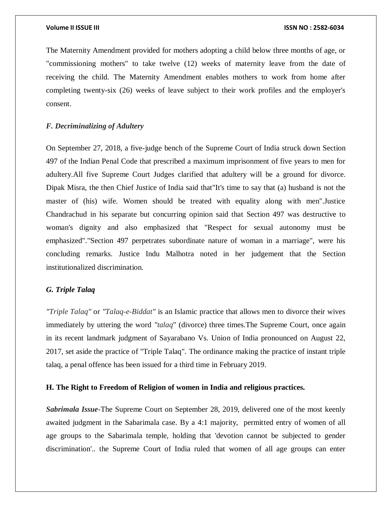The Maternity Amendment provided for mothers adopting a child below three months of age, or "commissioning mothers" to take twelve (12) weeks of maternity leave from the date of receiving the child. The Maternity Amendment enables mothers to work from home after completing twenty-six (26) weeks of leave subject to their work profiles and the employer's consent.

# *F. Decriminalizing of Adultery*

On September 27, 2018, a five-judge bench of the Supreme Court of India struck down Section 497 of the Indian Penal Code that prescribed a maximum imprisonment of five years to men for adultery.All five Supreme Court Judges clarified that adultery will be a ground for divorce. Dipak Misra, the then Chief Justice of India said that"It's time to say that (a) husband is not the master of (his) wife. Women should be treated with equality along with men".Justice Chandrachud in his separate but concurring opinion said that Section 497 was destructive to woman's dignity and also emphasized that "Respect for sexual autonomy must be emphasized"."Section 497 perpetrates subordinate nature of woman in a marriage", were his concluding remarks. Justice Indu Malhotra noted in her judgement that the Section institutionalized discrimination.

# *G. Triple Talaq*

*"Triple Talaq"* or *"Talaq-e-Biddat"* is an Islamic practice that allows men to divorce their wives immediately by uttering the word *"talaq*" (divorce) three times.The Supreme Court, once again in its recent landmark judgment of Sayarabano Vs. Union of India pronounced on August 22, 2017, set aside the practice of "Triple Talaq". The ordinance making the practice of instant triple talaq, a penal offence has been issued for a third time in February 2019.

# **H. The Right to Freedom of Religion of women in India and religious practices.**

*Sabrimala Issue-*The Supreme Court on September 28, 2019, delivered one of the most keenly awaited judgment in the Sabarimala case. By a 4:1 majority, permitted entry of women of all age groups to the Sabarimala temple, holding that 'devotion cannot be subjected to gender discrimination'.. the Supreme Court of India ruled that women of all age groups can enter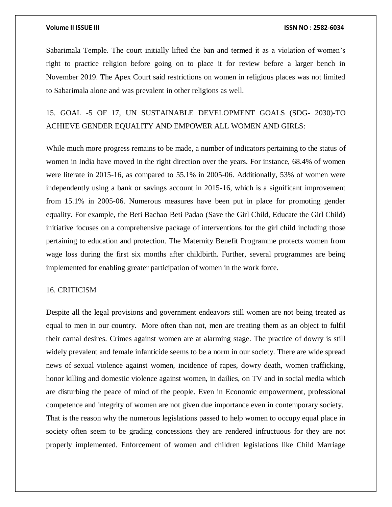Sabarimala Temple. The court initially lifted the ban and termed it as a violation of women's right to practice religion before going on to place it for review before a larger bench in November 2019. The Apex Court said restrictions on women in religious places was not limited to Sabarimala alone and was prevalent in other religions as well.

# 15. GOAL -5 OF 17, UN SUSTAINABLE DEVELOPMENT GOALS (SDG- 2030)-TO ACHIEVE GENDER EQUALITY AND EMPOWER ALL WOMEN AND GIRLS:

While much more progress remains to be made, a number of indicators pertaining to the status of women in India have moved in the right direction over the years. For instance, 68.4% of women were literate in 2015-16, as compared to 55.1% in 2005-06. Additionally, 53% of women were independently using a bank or savings account in 2015-16, which is a significant improvement from 15.1% in 2005-06. Numerous measures have been put in place for promoting gender equality. For example, the Beti Bachao Beti Padao (Save the Girl Child, Educate the Girl Child) initiative focuses on a comprehensive package of interventions for the girl child including those pertaining to education and protection. The Maternity Benefit Programme protects women from wage loss during the first six months after childbirth. Further, several programmes are being implemented for enabling greater participation of women in the work force.

## 16. CRITICISM

Despite all the legal provisions and government endeavors still women are not being treated as equal to men in our country. More often than not, men are treating them as an object to fulfil their carnal desires. Crimes against women are at alarming stage. The practice of dowry is still widely prevalent and female infanticide seems to be a norm in our society. There are wide spread news of sexual violence against women, incidence of rapes, dowry death, women trafficking, honor killing and domestic violence against women, in dailies, on TV and in social media which are disturbing the peace of mind of the people. Even in Economic empowerment, professional competence and integrity of women are not given due importance even in contemporary society. That is the reason why the numerous legislations passed to help women to occupy equal place in society often seem to be grading concessions they are rendered infructuous for they are not properly implemented. Enforcement of women and children legislations like Child Marriage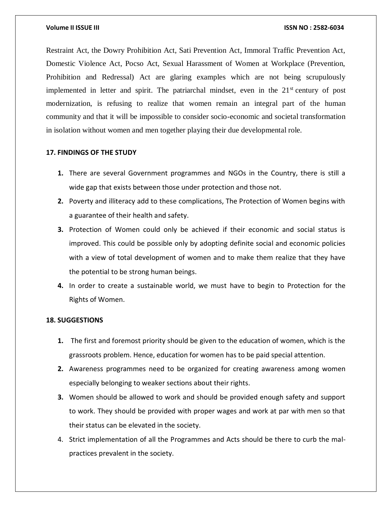Restraint Act, the Dowry Prohibition Act, Sati Prevention Act, Immoral Traffic Prevention Act, Domestic Violence Act, Pocso Act, Sexual Harassment of Women at Workplace (Prevention, Prohibition and Redressal) Act are glaring examples which are not being scrupulously implemented in letter and spirit. The patriarchal mindset, even in the  $21<sup>st</sup>$  century of post modernization, is refusing to realize that women remain an integral part of the human community and that it will be impossible to consider socio-economic and societal transformation in isolation without women and men together playing their due developmental role.

# **17. FINDINGS OF THE STUDY**

- **1.** There are several Government programmes and NGOs in the Country, there is still a wide gap that exists between those under protection and those not.
- **2.** Poverty and illiteracy add to these complications, The Protection of Women begins with a guarantee of their health and safety.
- **3.** Protection of Women could only be achieved if their economic and social status is improved. This could be possible only by adopting definite social and economic policies with a view of total development of women and to make them realize that they have the potential to be strong human beings.
- **4.** In order to create a sustainable world, we must have to begin to Protection for the Rights of Women.

# **18. SUGGESTIONS**

- **1.** The first and foremost priority should be given to the education of women, which is the grassroots problem. Hence, education for women has to be paid special attention.
- **2.** Awareness programmes need to be organized for creating awareness among women especially belonging to weaker sections about their rights.
- **3.** Women should be allowed to work and should be provided enough safety and support to work. They should be provided with proper wages and work at par with men so that their status can be elevated in the society.
- 4. Strict implementation of all the Programmes and Acts should be there to curb the malpractices prevalent in the society.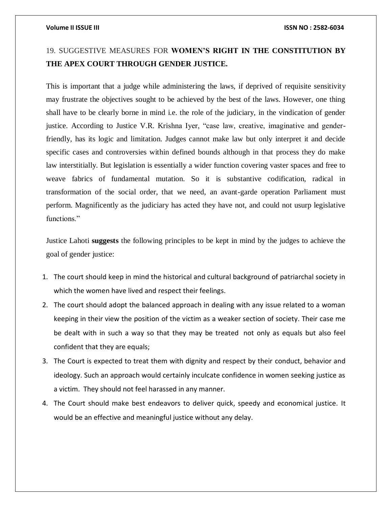# 19. SUGGESTIVE MEASURES FOR **WOMEN'S RIGHT IN THE CONSTITUTION BY THE APEX COURT THROUGH GENDER JUSTICE.**

This is important that a judge while administering the laws, if deprived of requisite sensitivity may frustrate the objectives sought to be achieved by the best of the laws. However, one thing shall have to be clearly borne in mind i.e. the role of the judiciary, in the vindication of gender justice. According to Justice V.R. Krishna Iyer, "case law, creative, imaginative and genderfriendly, has its logic and limitation. Judges cannot make law but only interpret it and decide specific cases and controversies within defined bounds although in that process they do make law interstitially. But legislation is essentially a wider function covering vaster spaces and free to weave fabrics of fundamental mutation. So it is substantive codification, radical in transformation of the social order, that we need, an avant-garde operation Parliament must perform. Magnificently as the judiciary has acted they have not, and could not usurp legislative functions."

Justice Lahoti **suggests** the following principles to be kept in mind by the judges to achieve the goal of gender justice:

- 1. The court should keep in mind the historical and cultural background of patriarchal society in which the women have lived and respect their feelings.
- 2. The court should adopt the balanced approach in dealing with any issue related to a woman keeping in their view the position of the victim as a weaker section of society. Their case me be dealt with in such a way so that they may be treated not only as equals but also feel confident that they are equals;
- 3. The Court is expected to treat them with dignity and respect by their conduct, behavior and ideology. Such an approach would certainly inculcate confidence in women seeking justice as a victim. They should not feel harassed in any manner.
- 4. The Court should make best endeavors to deliver quick, speedy and economical justice. It would be an effective and meaningful justice without any delay.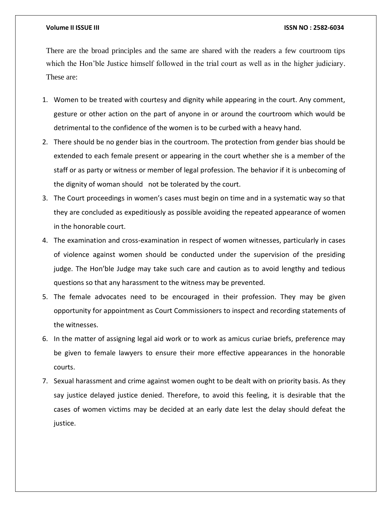There are the broad principles and the same are shared with the readers a few courtroom tips which the Hon'ble Justice himself followed in the trial court as well as in the higher judiciary. These are:

- 1. Women to be treated with courtesy and dignity while appearing in the court. Any comment, gesture or other action on the part of anyone in or around the courtroom which would be detrimental to the confidence of the women is to be curbed with a heavy hand.
- 2. There should be no gender bias in the courtroom. The protection from gender bias should be extended to each female present or appearing in the court whether she is a member of the staff or as party or witness or member of legal profession. The behavior if it is unbecoming of the dignity of woman should not be tolerated by the court.
- 3. The Court proceedings in women's cases must begin on time and in a systematic way so that they are concluded as expeditiously as possible avoiding the repeated appearance of women in the honorable court.
- 4. The examination and cross-examination in respect of women witnesses, particularly in cases of violence against women should be conducted under the supervision of the presiding judge. The Hon'ble Judge may take such care and caution as to avoid lengthy and tedious questions so that any harassment to the witness may be prevented.
- 5. The female advocates need to be encouraged in their profession. They may be given opportunity for appointment as Court Commissioners to inspect and recording statements of the witnesses.
- 6. In the matter of assigning legal aid work or to work as amicus curiae briefs, preference may be given to female lawyers to ensure their more effective appearances in the honorable courts.
- 7. Sexual harassment and crime against women ought to be dealt with on priority basis. As they say justice delayed justice denied. Therefore, to avoid this feeling, it is desirable that the cases of women victims may be decided at an early date lest the delay should defeat the justice.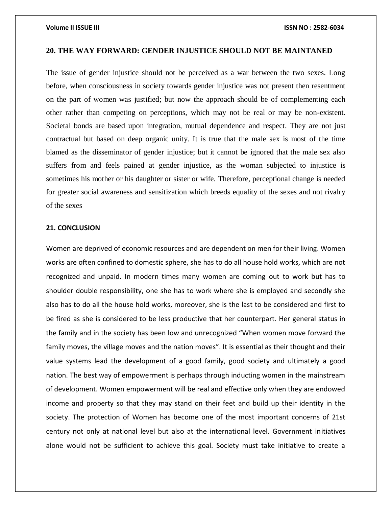## **20. THE WAY FORWARD: GENDER INJUSTICE SHOULD NOT BE MAINTANED**

The issue of gender injustice should not be perceived as a war between the two sexes. Long before, when consciousness in society towards gender injustice was not present then resentment on the part of women was justified; but now the approach should be of complementing each other rather than competing on perceptions, which may not be real or may be non-existent. Societal bonds are based upon integration, mutual dependence and respect. They are not just contractual but based on deep organic unity. It is true that the male sex is most of the time blamed as the disseminator of gender injustice; but it cannot be ignored that the male sex also suffers from and feels pained at gender injustice, as the woman subjected to injustice is sometimes his mother or his daughter or sister or wife. Therefore, perceptional change is needed for greater social awareness and sensitization which breeds equality of the sexes and not rivalry of the sexes

### **21. CONCLUSION**

Women are deprived of economic resources and are dependent on men for their living. Women works are often confined to domestic sphere, she has to do all house hold works, which are not recognized and unpaid. In modern times many women are coming out to work but has to shoulder double responsibility, one she has to work where she is employed and secondly she also has to do all the house hold works, moreover, she is the last to be considered and first to be fired as she is considered to be less productive that her counterpart. Her general status in the family and in the society has been low and unrecognized "When women move forward the family moves, the village moves and the nation moves". It is essential as their thought and their value systems lead the development of a good family, good society and ultimately a good nation. The best way of empowerment is perhaps through inducting women in the mainstream of development. Women empowerment will be real and effective only when they are endowed income and property so that they may stand on their feet and build up their identity in the society. The protection of Women has become one of the most important concerns of 21st century not only at national level but also at the international level. Government initiatives alone would not be sufficient to achieve this goal. Society must take initiative to create a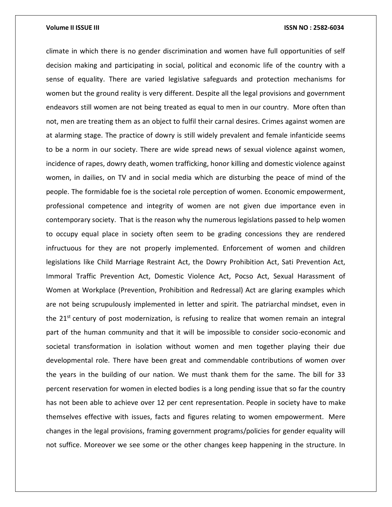climate in which there is no gender discrimination and women have full opportunities of self decision making and participating in social, political and economic life of the country with a sense of equality. There are varied legislative safeguards and protection mechanisms for women but the ground reality is very different. Despite all the legal provisions and government endeavors still women are not being treated as equal to men in our country. More often than not, men are treating them as an object to fulfil their carnal desires. Crimes against women are at alarming stage. The practice of dowry is still widely prevalent and female infanticide seems to be a norm in our society. There are wide spread news of sexual violence against women, incidence of rapes, dowry death, women trafficking, honor killing and domestic violence against women, in dailies, on TV and in social media which are disturbing the peace of mind of the people. The formidable foe is the societal role perception of women. Economic empowerment, professional competence and integrity of women are not given due importance even in contemporary society. That is the reason why the numerous legislations passed to help women to occupy equal place in society often seem to be grading concessions they are rendered infructuous for they are not properly implemented. Enforcement of women and children legislations like Child Marriage Restraint Act, the Dowry Prohibition Act, Sati Prevention Act, Immoral Traffic Prevention Act, Domestic Violence Act, Pocso Act, Sexual Harassment of Women at Workplace (Prevention, Prohibition and Redressal) Act are glaring examples which are not being scrupulously implemented in letter and spirit. The patriarchal mindset, even in the  $21<sup>st</sup>$  century of post modernization, is refusing to realize that women remain an integral part of the human community and that it will be impossible to consider socio-economic and societal transformation in isolation without women and men together playing their due developmental role. There have been great and commendable contributions of women over the years in the building of our nation. We must thank them for the same. The bill for 33 percent reservation for women in elected bodies is a long pending issue that so far the country has not been able to achieve over 12 per cent representation. People in society have to make themselves effective with issues, facts and figures relating to women empowerment. Mere changes in the legal provisions, framing government programs/policies for gender equality will not suffice. Moreover we see some or the other changes keep happening in the structure. In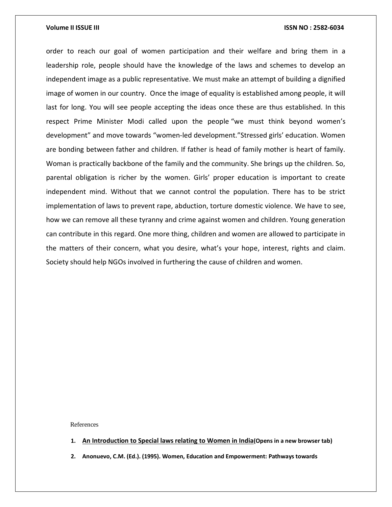order to reach our goal of women participation and their welfare and bring them in a leadership role, people should have the knowledge of the laws and schemes to develop an independent image as a public representative. We must make an attempt of building a dignified image of women in our country. Once the image of equality is established among people, it will last for long. You will see people accepting the ideas once these are thus established. In this respect Prime Minister Modi called upon the people "we must think beyond women's development" and move towards "women-led development."Stressed girls' education. Women are bonding between father and children. If father is head of family mother is heart of family. Woman is practically backbone of the family and the community. She brings up the children. So, parental obligation is richer by the women. Girls' proper education is important to create independent mind. Without that we cannot control the population. There has to be strict implementation of laws to prevent rape, abduction, torture domestic violence. We have to see, how we can remove all these tyranny and crime against women and children. Young generation can contribute in this regard. One more thing, children and women are allowed to participate in the matters of their concern, what you desire, what's your hope, interest, rights and claim. Society should help NGOs involved in furthering the cause of children and women.

References

- **1. An [Introduction](https://www.legalbites.in/an-introduction-to-special-laws-relating-to-women-in-india/) to Special laws relating to Women in India(Opens in a new browser tab)**
- **2. Anonuevo, C.M. (Ed.). (1995). Women, Education and Empowerment: Pathways towards**